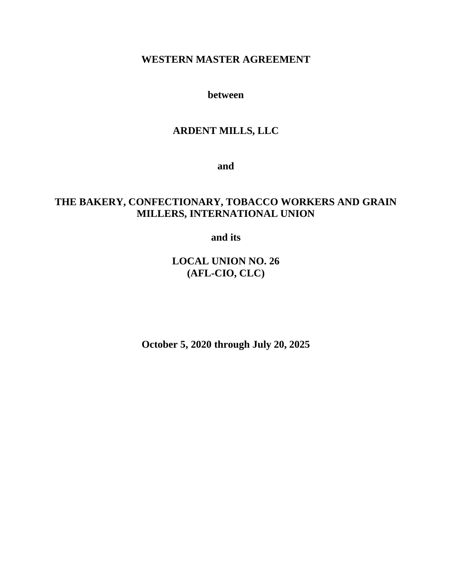# **WESTERN MASTER AGREEMENT**

**between**

# **ARDENT MILLS, LLC**

**and**

# **THE BAKERY, CONFECTIONARY, TOBACCO WORKERS AND GRAIN MILLERS, INTERNATIONAL UNION**

**and its**

**LOCAL UNION NO. 26 (AFL-CIO, CLC)**

**October 5, 2020 through July 20, 2025**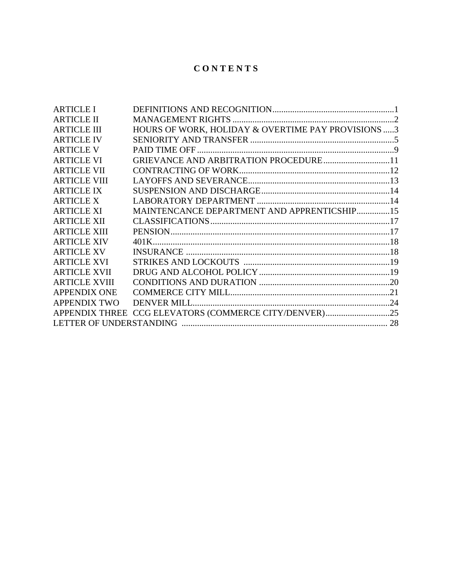# **C O N T E N T S**

| <b>ARTICLE I</b>     |                                                       |  |
|----------------------|-------------------------------------------------------|--|
| <b>ARTICLE II</b>    |                                                       |  |
| <b>ARTICLE III</b>   | HOURS OF WORK, HOLIDAY & OVERTIME PAY PROVISIONS 3    |  |
| <b>ARTICLE IV</b>    |                                                       |  |
| <b>ARTICLE V</b>     |                                                       |  |
| <b>ARTICLE VI</b>    | GRIEVANCE AND ARBITRATION PROCEDURE11                 |  |
| <b>ARTICLE VII</b>   |                                                       |  |
| <b>ARTICLE VIII</b>  |                                                       |  |
| <b>ARTICLE IX</b>    |                                                       |  |
| <b>ARTICLE X</b>     |                                                       |  |
| <b>ARTICLE XI</b>    | MAINTENCANCE DEPARTMENT AND APPRENTICSHIP15           |  |
| <b>ARTICLE XII</b>   |                                                       |  |
| <b>ARTICLE XIII</b>  |                                                       |  |
| <b>ARTICLE XIV</b>   |                                                       |  |
| <b>ARTICLE XV</b>    |                                                       |  |
| <b>ARTICLE XVI</b>   |                                                       |  |
| <b>ARTICLE XVII</b>  |                                                       |  |
| <b>ARTICLE XVIII</b> |                                                       |  |
| <b>APPENDIX ONE</b>  |                                                       |  |
| <b>APPENDIX TWO</b>  |                                                       |  |
|                      | APPENDIX THREE CCG ELEVATORS (COMMERCE CITY/DENVER)25 |  |
|                      |                                                       |  |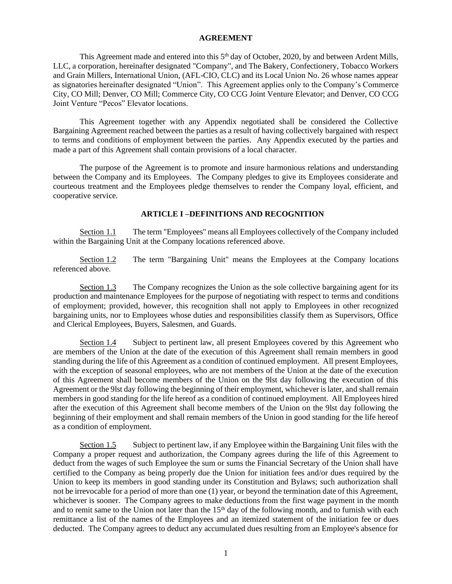#### **AGREEMENT**

This Agreement made and entered into this 5<sup>th</sup> day of October, 2020, by and between Ardent Mills, LLC, a corporation, hereinafter designated "Company", and The Bakery, Confectionery, Tobacco Workers and Grain Millers, International Union, (AFL-CIO, CLC) and its Local Union No. 26 whose names appear as signatories hereinafter designated "Union". This Agreement applies only to the Company's Commerce City, CO Mill; Denver, CO Mill; Commerce City, CO CCG Joint Venture Elevator; and Denver, CO CCG Joint Venture "Pecos" Elevator locations.

This Agreement together with any Appendix negotiated shall be considered the Collective Bargaining Agreement reached between the parties as a result of having collectively bargained with respect to terms and conditions of employment between the parties. Any Appendix executed by the parties and made a part of this Agreement shall contain provisions of a local character.

The purpose of the Agreement is to promote and insure harmonious relations and understanding between the Company and its Employees. The Company pledges to give its Employees considerate and courteous treatment and the Employees pledge themselves to render the Company loyal, efficient, and cooperative service.

# **ARTICLE I –DEFINITIONS AND RECOGNITION**

Section 1.1 The term "Employees" means all Employees collectively of the Company included within the Bargaining Unit at the Company locations referenced above.

Section 1.2 The term "Bargaining Unit" means the Employees at the Company locations referenced above.

Section 1.3 The Company recognizes the Union as the sole collective bargaining agent for its production and maintenance Employees for the purpose of negotiating with respect to terms and conditions of employment; provided, however, this recognition shall not apply to Employees in other recognized bargaining units, nor to Employees whose duties and responsibilities classify them as Supervisors, Office and Clerical Employees, Buyers, Salesmen, and Guards.

Section 1.4 Subject to pertinent law, all present Employees covered by this Agreement who are members of the Union at the date of the execution of this Agreement shall remain members in good standing during the life of this Agreement as a condition of continued employment. All present Employees, with the exception of seasonal employees, who are not members of the Union at the date of the execution of this Agreement shall become members of the Union on the 9lst day following the execution of this Agreement or the 9lst day following the beginning of their employment, whichever is later, and shall remain members in good standing for the life hereof as a condition of continued employment. All Employees hired after the execution of this Agreement shall become members of the Union on the 9lst day following the beginning of their employment and shall remain members of the Union in good standing for the life hereof as a condition of employment.

Section 1.5 Subject to pertinent law, if any Employee within the Bargaining Unit files with the Company a proper request and authorization, the Company agrees during the life of this Agreement to deduct from the wages of such Employee the sum or sums the Financial Secretary of the Union shall have certified to the Company as being properly due the Union for initiation fees and/or dues required by the Union to keep its members in good standing under its Constitution and Bylaws; such authorization shall not be irrevocable for a period of more than one (1) year, or beyond the termination date of this Agreement, whichever is sooner. The Company agrees to make deductions from the first wage payment in the month and to remit same to the Union not later than the 15<sup>th</sup> day of the following month, and to furnish with each remittance a list of the names of the Employees and an itemized statement of the initiation fee or dues deducted. The Company agrees to deduct any accumulated dues resulting from an Employee's absence for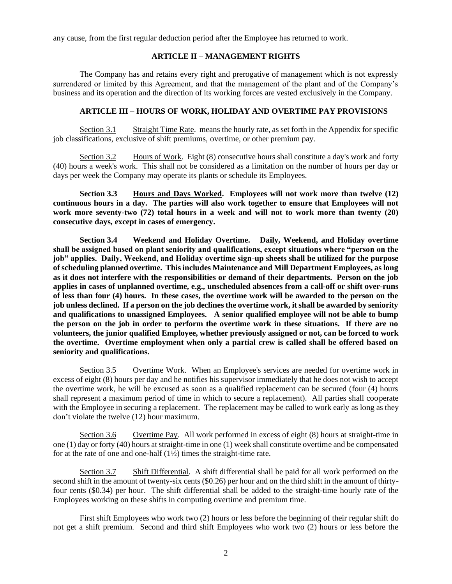any cause, from the first regular deduction period after the Employee has returned to work.

#### **ARTICLE II – MANAGEMENT RIGHTS**

The Company has and retains every right and prerogative of management which is not expressly surrendered or limited by this Agreement, and that the management of the plant and of the Company's business and its operation and the direction of its working forces are vested exclusively in the Company.

# **ARTICLE III – HOURS OF WORK, HOLIDAY AND OVERTIME PAY PROVISIONS**

Section 3.1 Straight Time Rate. means the hourly rate, as set forth in the Appendix for specific job classifications, exclusive of shift premiums, overtime, or other premium pay.

Section 3.2 Hours of Work. Eight (8) consecutive hours shall constitute a day's work and forty (40) hours a week's work. This shall not be considered as a limitation on the number of hours per day or days per week the Company may operate its plants or schedule its Employees.

**Section 3.3 Hours and Days Worked. Employees will not work more than twelve (12) continuous hours in a day. The parties will also work together to ensure that Employees will not work more seventy-two (72) total hours in a week and will not to work more than twenty (20) consecutive days, except in cases of emergency.**

**Section 3.4 Weekend and Holiday Overtime. Daily, Weekend, and Holiday overtime shall be assigned based on plant seniority and qualifications, except situations where "person on the job" applies. Daily, Weekend, and Holiday overtime sign-up sheets shall be utilized for the purpose of scheduling planned overtime. This includes Maintenance and Mill Department Employees, as long as it does not interfere with the responsibilities or demand of their departments. Person on the job applies in cases of unplanned overtime, e.g., unscheduled absences from a call-off or shift over-runs of less than four (4) hours. In these cases, the overtime work will be awarded to the person on the job unless declined. If a person on the job declines the overtime work, it shall be awarded by seniority and qualifications to unassigned Employees. A senior qualified employee will not be able to bump the person on the job in order to perform the overtime work in these situations. If there are no volunteers, the junior qualified Employee, whether previously assigned or not, can be forced to work the overtime. Overtime employment when only a partial crew is called shall be offered based on seniority and qualifications.** 

Section 3.5 Overtime Work. When an Employee's services are needed for overtime work in excess of eight (8) hours per day and he notifies his supervisor immediately that he does not wish to accept the overtime work, he will be excused as soon as a qualified replacement can be secured (four (4) hours shall represent a maximum period of time in which to secure a replacement). All parties shall cooperate with the Employee in securing a replacement. The replacement may be called to work early as long as they don't violate the twelve (12) hour maximum.

Section 3.6 Overtime Pay. All work performed in excess of eight (8) hours at straight-time in one (1) day or forty (40) hours at straight-time in one (1) week shall constitute overtime and be compensated for at the rate of one and one-half  $(1\frac{1}{2})$  times the straight-time rate.

Section 3.7 Shift Differential. A shift differential shall be paid for all work performed on the second shift in the amount of twenty-six cents (\$0.26) per hour and on the third shift in the amount of thirtyfour cents (\$0.34) per hour. The shift differential shall be added to the straight-time hourly rate of the Employees working on these shifts in computing overtime and premium time.

First shift Employees who work two (2) hours or less before the beginning of their regular shift do not get a shift premium. Second and third shift Employees who work two (2) hours or less before the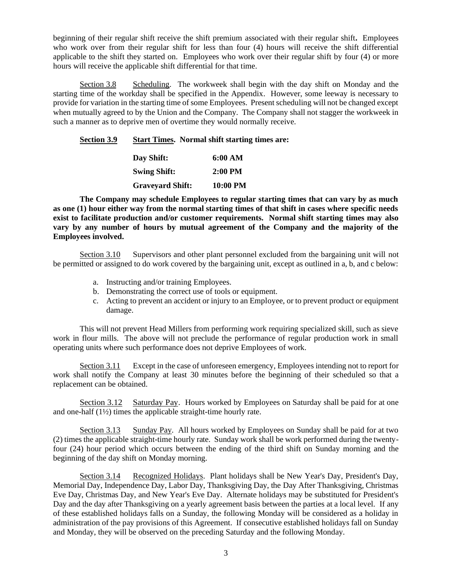beginning of their regular shift receive the shift premium associated with their regular shift**.** Employees who work over from their regular shift for less than four (4) hours will receive the shift differential applicable to the shift they started on. Employees who work over their regular shift by four (4) or more hours will receive the applicable shift differential for that time.

Section 3.8 Scheduling. The workweek shall begin with the day shift on Monday and the starting time of the workday shall be specified in the Appendix. However, some leeway is necessary to provide for variation in the starting time of some Employees. Present scheduling will not be changed except when mutually agreed to by the Union and the Company. The Company shall not stagger the workweek in such a manner as to deprive men of overtime they would normally receive.

# **Section 3.9 Start Times. Normal shift starting times are:**

| Day Shift:              | 6:00 AM   |
|-------------------------|-----------|
| <b>Swing Shift:</b>     | $2:00$ PM |
| <b>Graveyard Shift:</b> | 10:00 PM  |

**The Company may schedule Employees to regular starting times that can vary by as much as one (1) hour either way from the normal starting times of that shift in cases where specific needs exist to facilitate production and/or customer requirements. Normal shift starting times may also vary by any number of hours by mutual agreement of the Company and the majority of the Employees involved.**

Section 3.10 Supervisors and other plant personnel excluded from the bargaining unit will not be permitted or assigned to do work covered by the bargaining unit, except as outlined in a, b, and c below:

- a. Instructing and/or training Employees.
- b. Demonstrating the correct use of tools or equipment.
- c. Acting to prevent an accident or injury to an Employee, or to prevent product or equipment damage.

This will not prevent Head Millers from performing work requiring specialized skill, such as sieve work in flour mills. The above will not preclude the performance of regular production work in small operating units where such performance does not deprive Employees of work.

Section 3.11 Except in the case of unforeseen emergency, Employees intending not to report for work shall notify the Company at least 30 minutes before the beginning of their scheduled so that a replacement can be obtained.

Section 3.12 Saturday Pay. Hours worked by Employees on Saturday shall be paid for at one and one-half  $(1\frac{1}{2})$  times the applicable straight-time hourly rate.

Section 3.13 Sunday Pay. All hours worked by Employees on Sunday shall be paid for at two (2) times the applicable straight-time hourly rate. Sunday work shall be work performed during the twentyfour (24) hour period which occurs between the ending of the third shift on Sunday morning and the beginning of the day shift on Monday morning.

Section 3.14 Recognized Holidays. Plant holidays shall be New Year's Day, President's Day, Memorial Day, Independence Day, Labor Day, Thanksgiving Day, the Day After Thanksgiving, Christmas Eve Day, Christmas Day, and New Year's Eve Day. Alternate holidays may be substituted for President's Day and the day after Thanksgiving on a yearly agreement basis between the parties at a local level. If any of these established holidays falls on a Sunday, the following Monday will be considered as a holiday in administration of the pay provisions of this Agreement. If consecutive established holidays fall on Sunday and Monday, they will be observed on the preceding Saturday and the following Monday.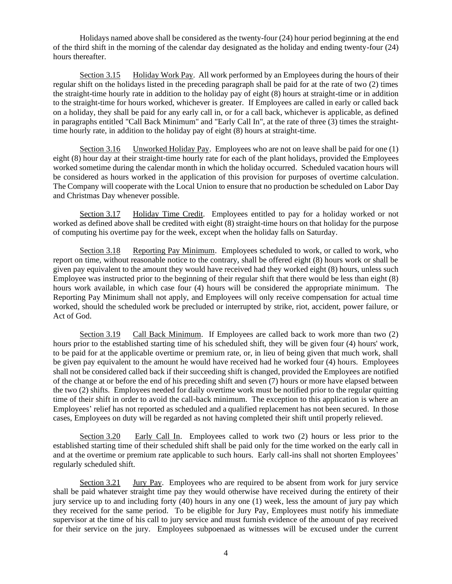Holidays named above shall be considered as the twenty-four (24) hour period beginning at the end of the third shift in the morning of the calendar day designated as the holiday and ending twenty-four (24) hours thereafter.

Section 3.15 Holiday Work Pay. All work performed by an Employees during the hours of their regular shift on the holidays listed in the preceding paragraph shall be paid for at the rate of two (2) times the straight-time hourly rate in addition to the holiday pay of eight (8) hours at straight-time or in addition to the straight-time for hours worked, whichever is greater. If Employees are called in early or called back on a holiday, they shall be paid for any early call in, or for a call back, whichever is applicable, as defined in paragraphs entitled "Call Back Minimum" and "Early Call In", at the rate of three (3) times the straighttime hourly rate, in addition to the holiday pay of eight (8) hours at straight-time.

Section 3.16 Unworked Holiday Pay. Employees who are not on leave shall be paid for one (1) eight (8) hour day at their straight-time hourly rate for each of the plant holidays, provided the Employees worked sometime during the calendar month in which the holiday occurred. Scheduled vacation hours will be considered as hours worked in the application of this provision for purposes of overtime calculation. The Company will cooperate with the Local Union to ensure that no production be scheduled on Labor Day and Christmas Day whenever possible.

Section 3.17 Holiday Time Credit. Employees entitled to pay for a holiday worked or not worked as defined above shall be credited with eight (8) straight-time hours on that holiday for the purpose of computing his overtime pay for the week, except when the holiday falls on Saturday.

Section 3.18 Reporting Pay Minimum. Employees scheduled to work, or called to work, who report on time, without reasonable notice to the contrary, shall be offered eight (8) hours work or shall be given pay equivalent to the amount they would have received had they worked eight (8) hours, unless such Employee was instructed prior to the beginning of their regular shift that there would be less than eight (8) hours work available, in which case four (4) hours will be considered the appropriate minimum. The Reporting Pay Minimum shall not apply, and Employees will only receive compensation for actual time worked, should the scheduled work be precluded or interrupted by strike, riot, accident, power failure, or Act of God.

Section 3.19 Call Back Minimum. If Employees are called back to work more than two (2) hours prior to the established starting time of his scheduled shift, they will be given four (4) hours' work, to be paid for at the applicable overtime or premium rate, or, in lieu of being given that much work, shall be given pay equivalent to the amount he would have received had he worked four (4) hours. Employees shall not be considered called back if their succeeding shift is changed, provided the Employees are notified of the change at or before the end of his preceding shift and seven (7) hours or more have elapsed between the two (2) shifts. Employees needed for daily overtime work must be notified prior to the regular quitting time of their shift in order to avoid the call-back minimum. The exception to this application is where an Employees' relief has not reported as scheduled and a qualified replacement has not been secured. In those cases, Employees on duty will be regarded as not having completed their shift until properly relieved.

Section 3.20 Early Call In. Employees called to work two (2) hours or less prior to the established starting time of their scheduled shift shall be paid only for the time worked on the early call in and at the overtime or premium rate applicable to such hours. Early call-ins shall not shorten Employees' regularly scheduled shift.

Section 3.21 Jury Pay. Employees who are required to be absent from work for jury service shall be paid whatever straight time pay they would otherwise have received during the entirety of their jury service up to and including forty (40) hours in any one (1) week, less the amount of jury pay which they received for the same period. To be eligible for Jury Pay, Employees must notify his immediate supervisor at the time of his call to jury service and must furnish evidence of the amount of pay received for their service on the jury. Employees subpoenaed as witnesses will be excused under the current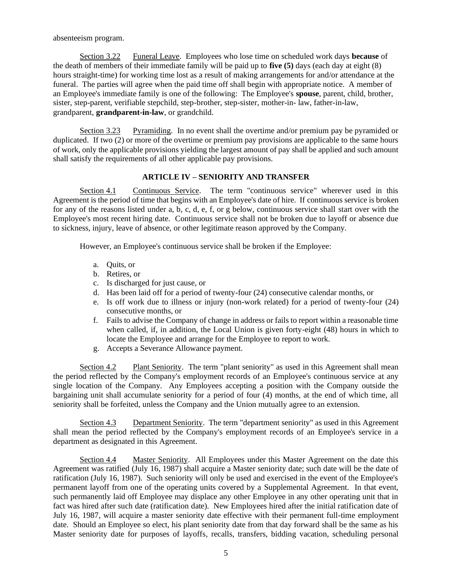absenteeism program.

Section 3.22 Funeral Leave. Employees who lose time on scheduled work days **because** of the death of members of their immediate family will be paid up to **five (5)** days (each day at eight (8) hours straight-time) for working time lost as a result of making arrangements for and/or attendance at the funeral. The parties will agree when the paid time off shall begin with appropriate notice. A member of an Employee's immediate family is one of the following: The Employee's **spouse**, parent, child, brother, sister, step-parent, verifiable stepchild, step-brother, step-sister, mother-in- law, father-in-law, grandparent, **grandparent-in-law**, or grandchild.

Section 3.23 Pyramiding. In no event shall the overtime and/or premium pay be pyramided or duplicated. If two (2) or more of the overtime or premium pay provisions are applicable to the same hours of work, only the applicable provisions yielding the largest amount of pay shall be applied and such amount shall satisfy the requirements of all other applicable pay provisions.

# **ARTICLE IV – SENIORITY AND TRANSFER**

Section 4.1 Continuous Service. The term "continuous service" wherever used in this Agreement is the period of time that begins with an Employee's date of hire. If continuous service is broken for any of the reasons listed under a, b, c, d, e, f, or g below, continuous service shall start over with the Employee's most recent hiring date. Continuous service shall not be broken due to layoff or absence due to sickness, injury, leave of absence, or other legitimate reason approved by the Company.

However, an Employee's continuous service shall be broken if the Employee:

- a. Quits, or
- b. Retires, or
- c. Is discharged for just cause, or
- d. Has been laid off for a period of twenty-four (24) consecutive calendar months, or
- e. Is off work due to illness or injury (non-work related) for a period of twenty-four (24) consecutive months, or
- f. Fails to advise the Company of change in address or fails to report within a reasonable time when called, if, in addition, the Local Union is given forty-eight (48) hours in which to locate the Employee and arrange for the Employee to report to work.
- g. Accepts a Severance Allowance payment.

Section 4.2 Plant Seniority. The term "plant seniority" as used in this Agreement shall mean the period reflected by the Company's employment records of an Employee's continuous service at any single location of the Company. Any Employees accepting a position with the Company outside the bargaining unit shall accumulate seniority for a period of four (4) months, at the end of which time, all seniority shall be forfeited, unless the Company and the Union mutually agree to an extension.

Section 4.3 Department Seniority. The term "department seniority" as used in this Agreement shall mean the period reflected by the Company's employment records of an Employee's service in a department as designated in this Agreement.

Section 4.4 Master Seniority. All Employees under this Master Agreement on the date this Agreement was ratified (July 16, 1987) shall acquire a Master seniority date; such date will be the date of ratification (July 16, 1987). Such seniority will only be used and exercised in the event of the Employee's permanent layoff from one of the operating units covered by a Supplemental Agreement. In that event, such permanently laid off Employee may displace any other Employee in any other operating unit that in fact was hired after such date (ratification date). New Employees hired after the initial ratification date of July 16, 1987, will acquire a master seniority date effective with their permanent full-time employment date. Should an Employee so elect, his plant seniority date from that day forward shall be the same as his Master seniority date for purposes of layoffs, recalls, transfers, bidding vacation, scheduling personal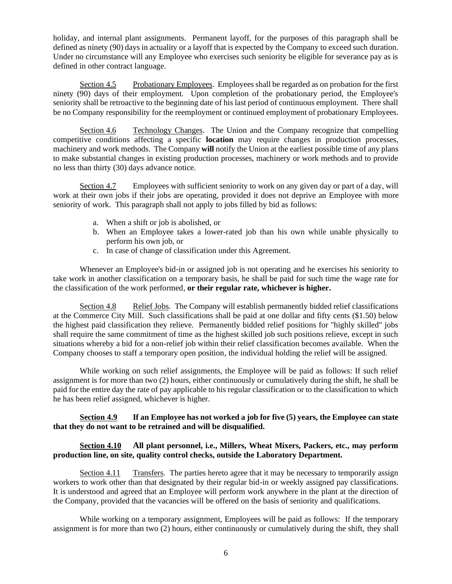holiday, and internal plant assignments. Permanent layoff, for the purposes of this paragraph shall be defined as ninety (90) days in actuality or a layoff that is expected by the Company to exceed such duration. Under no circumstance will any Employee who exercises such seniority be eligible for severance pay as is defined in other contract language.

Section 4.5 Probationary Employees. Employees shall be regarded as on probation for the first ninety (90) days of their employment. Upon completion of the probationary period, the Employee's seniority shall be retroactive to the beginning date of his last period of continuous employment. There shall be no Company responsibility for the reemployment or continued employment of probationary Employees.

Section 4.6 Technology Changes. The Union and the Company recognize that compelling competitive conditions affecting a specific **location** may require changes in production processes, machinery and work methods. The Company **will** notify the Union at the earliest possible time of any plans to make substantial changes in existing production processes, machinery or work methods and to provide no less than thirty (30) days advance notice.

Section 4.7 Employees with sufficient seniority to work on any given day or part of a day, will work at their own jobs if their jobs are operating, provided it does not deprive an Employee with more seniority of work. This paragraph shall not apply to jobs filled by bid as follows:

- a. When a shift or job is abolished, or
- b. When an Employee takes a lower-rated job than his own while unable physically to perform his own job, or
- c. In case of change of classification under this Agreement.

Whenever an Employee's bid-in or assigned job is not operating and he exercises his seniority to take work in another classification on a temporary basis, he shall be paid for such time the wage rate for the classification of the work performed, **or their regular rate, whichever is higher.**

Section 4.8 Relief Jobs. The Company will establish permanently bidded relief classifications at the Commerce City Mill. Such classifications shall be paid at one dollar and fifty cents (\$1.50) below the highest paid classification they relieve. Permanently bidded relief positions for "highly skilled" jobs shall require the same commitment of time as the highest skilled job such positions relieve, except in such situations whereby a bid for a non-relief job within their relief classification becomes available. When the Company chooses to staff a temporary open position, the individual holding the relief will be assigned.

While working on such relief assignments, the Employee will be paid as follows: If such relief assignment is for more than two (2) hours, either continuously or cumulatively during the shift, he shall be paid for the entire day the rate of pay applicable to his regular classification or to the classification to which he has been relief assigned, whichever is higher.

# **Section 4.9 If an Employee has not worked a job for five (5) years, the Employee can state that they do not want to be retrained and will be disqualified.**

# **Section 4.10 All plant personnel, i.e., Millers, Wheat Mixers, Packers, etc., may perform production line, on site, quality control checks, outside the Laboratory Department.**

Section 4.11 Transfers. The parties hereto agree that it may be necessary to temporarily assign workers to work other than that designated by their regular bid-in or weekly assigned pay classifications. It is understood and agreed that an Employee will perform work anywhere in the plant at the direction of the Company, provided that the vacancies will be offered on the basis of seniority and qualifications.

While working on a temporary assignment, Employees will be paid as follows: If the temporary assignment is for more than two (2) hours, either continuously or cumulatively during the shift, they shall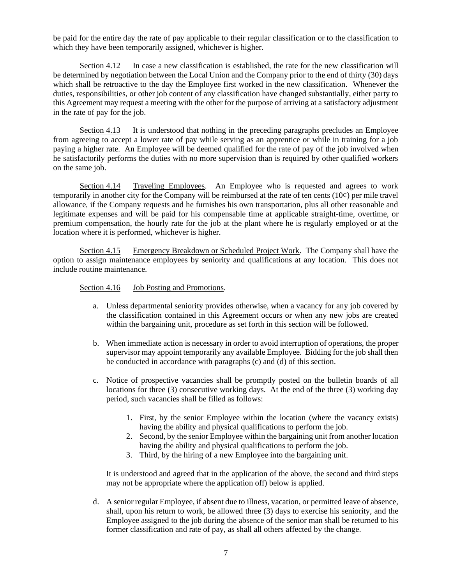be paid for the entire day the rate of pay applicable to their regular classification or to the classification to which they have been temporarily assigned, whichever is higher.

Section 4.12 In case a new classification is established, the rate for the new classification will be determined by negotiation between the Local Union and the Company prior to the end of thirty (30) days which shall be retroactive to the day the Employee first worked in the new classification. Whenever the duties, responsibilities, or other job content of any classification have changed substantially, either party to this Agreement may request a meeting with the other for the purpose of arriving at a satisfactory adjustment in the rate of pay for the job.

Section 4.13 It is understood that nothing in the preceding paragraphs precludes an Employee from agreeing to accept a lower rate of pay while serving as an apprentice or while in training for a job paying a higher rate. An Employee will be deemed qualified for the rate of pay of the job involved when he satisfactorily performs the duties with no more supervision than is required by other qualified workers on the same job.

Section 4.14 Traveling Employees. An Employee who is requested and agrees to work temporarily in another city for the Company will be reimbursed at the rate of ten cents  $(10¢)$  per mile travel allowance, if the Company requests and he furnishes his own transportation, plus all other reasonable and legitimate expenses and will be paid for his compensable time at applicable straight-time, overtime, or premium compensation, the hourly rate for the job at the plant where he is regularly employed or at the location where it is performed, whichever is higher.

Section 4.15 Emergency Breakdown or Scheduled Project Work. The Company shall have the option to assign maintenance employees by seniority and qualifications at any location. This does not include routine maintenance.

Section 4.16 Job Posting and Promotions.

- a. Unless departmental seniority provides otherwise, when a vacancy for any job covered by the classification contained in this Agreement occurs or when any new jobs are created within the bargaining unit, procedure as set forth in this section will be followed.
- b. When immediate action is necessary in order to avoid interruption of operations, the proper supervisor may appoint temporarily any available Employee. Bidding for the job shall then be conducted in accordance with paragraphs (c) and (d) of this section.
- c. Notice of prospective vacancies shall be promptly posted on the bulletin boards of all locations for three (3) consecutive working days. At the end of the three (3) working day period, such vacancies shall be filled as follows:
	- 1. First, by the senior Employee within the location (where the vacancy exists) having the ability and physical qualifications to perform the job.
	- 2. Second, by the senior Employee within the bargaining unit from another location having the ability and physical qualifications to perform the job.
	- 3. Third, by the hiring of a new Employee into the bargaining unit.

It is understood and agreed that in the application of the above, the second and third steps may not be appropriate where the application off) below is applied.

d. A senior regular Employee, if absent due to illness, vacation, or permitted leave of absence, shall, upon his return to work, be allowed three (3) days to exercise his seniority, and the Employee assigned to the job during the absence of the senior man shall be returned to his former classification and rate of pay, as shall all others affected by the change.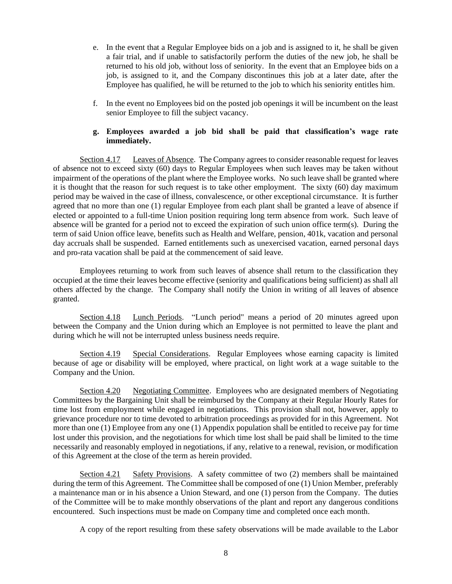- e. In the event that a Regular Employee bids on a job and is assigned to it, he shall be given a fair trial, and if unable to satisfactorily perform the duties of the new job, he shall be returned to his old job, without loss of seniority. In the event that an Employee bids on a job, is assigned to it, and the Company discontinues this job at a later date, after the Employee has qualified, he will be returned to the job to which his seniority entitles him.
- f. In the event no Employees bid on the posted job openings it will be incumbent on the least senior Employee to fill the subject vacancy.

# **g. Employees awarded a job bid shall be paid that classification's wage rate immediately.**

Section 4.17 Leaves of Absence. The Company agrees to consider reasonable request for leaves of absence not to exceed sixty (60) days to Regular Employees when such leaves may be taken without impairment of the operations of the plant where the Employee works. No such leave shall be granted where it is thought that the reason for such request is to take other employment. The sixty (60) day maximum period may be waived in the case of illness, convalescence, or other exceptional circumstance. It is further agreed that no more than one (1) regular Employee from each plant shall be granted a leave of absence if elected or appointed to a full-time Union position requiring long term absence from work. Such leave of absence will be granted for a period not to exceed the expiration of such union office term(s). During the term of said Union office leave, benefits such as Health and Welfare, pension, 401k, vacation and personal day accruals shall be suspended. Earned entitlements such as unexercised vacation, earned personal days and pro-rata vacation shall be paid at the commencement of said leave.

Employees returning to work from such leaves of absence shall return to the classification they occupied at the time their leaves become effective (seniority and qualifications being sufficient) as shall all others affected by the change. The Company shall notify the Union in writing of all leaves of absence granted.

Section 4.18 Lunch Periods. "Lunch period" means a period of 20 minutes agreed upon between the Company and the Union during which an Employee is not permitted to leave the plant and during which he will not be interrupted unless business needs require.

Section 4.19 Special Considerations. Regular Employees whose earning capacity is limited because of age or disability will be employed, where practical, on light work at a wage suitable to the Company and the Union.

Section 4.20 Negotiating Committee. Employees who are designated members of Negotiating Committees by the Bargaining Unit shall be reimbursed by the Company at their Regular Hourly Rates for time lost from employment while engaged in negotiations. This provision shall not, however, apply to grievance procedure nor to time devoted to arbitration proceedings as provided for in this Agreement. Not more than one (1) Employee from any one (1) Appendix population shall be entitled to receive pay for time lost under this provision, and the negotiations for which time lost shall be paid shall be limited to the time necessarily and reasonably employed in negotiations, if any, relative to a renewal, revision, or modification of this Agreement at the close of the term as herein provided.

Section 4.21 Safety Provisions. A safety committee of two (2) members shall be maintained during the term of this Agreement. The Committee shall be composed of one (1) Union Member, preferably a maintenance man or in his absence a Union Steward, and one (1) person from the Company. The duties of the Committee will be to make monthly observations of the plant and report any dangerous conditions encountered. Such inspections must be made on Company time and completed once each month.

A copy of the report resulting from these safety observations will be made available to the Labor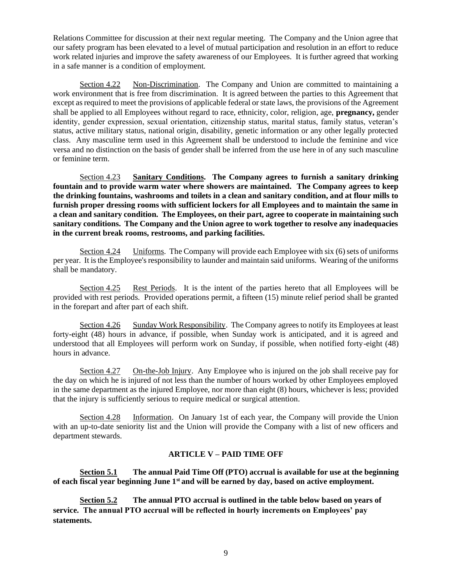Relations Committee for discussion at their next regular meeting. The Company and the Union agree that our safety program has been elevated to a level of mutual participation and resolution in an effort to reduce work related injuries and improve the safety awareness of our Employees. It is further agreed that working in a safe manner is a condition of employment.

Section 4.22 Non-Discrimination. The Company and Union are committed to maintaining a work environment that is free from discrimination. It is agreed between the parties to this Agreement that except as required to meet the provisions of applicable federal or state laws, the provisions of the Agreement shall be applied to all Employees without regard to race, ethnicity, color, religion, age, **pregnancy,** gender identity, gender expression, sexual orientation, citizenship status, marital status, family status, veteran's status, active military status, national origin, disability, genetic information or any other legally protected class. Any masculine term used in this Agreement shall be understood to include the feminine and vice versa and no distinction on the basis of gender shall be inferred from the use here in of any such masculine or feminine term.

Section 4.23 **Sanitary Conditions. The Company agrees to furnish a sanitary drinking fountain and to provide warm water where showers are maintained. The Company agrees to keep the drinking fountains, washrooms and toilets in a clean and sanitary condition, and at flour mills to furnish proper dressing rooms with sufficient lockers for all Employees and to maintain the same in a clean and sanitary condition. The Employees, on their part, agree to cooperate in maintaining such sanitary conditions. The Company and the Union agree to work together to resolve any inadequacies in the current break rooms, restrooms, and parking facilities.**

Section 4.24 Uniforms. The Company will provide each Employee with six (6) sets of uniforms per year. It is the Employee's responsibility to launder and maintain said uniforms. Wearing of the uniforms shall be mandatory.

Section 4.25 Rest Periods. It is the intent of the parties hereto that all Employees will be provided with rest periods. Provided operations permit, a fifteen (15) minute relief period shall be granted in the forepart and after part of each shift.

Section 4.26 Sunday Work Responsibility. The Company agrees to notify its Employees at least forty-eight (48) hours in advance, if possible, when Sunday work is anticipated, and it is agreed and understood that all Employees will perform work on Sunday, if possible, when notified forty-eight (48) hours in advance.

Section 4.27 On-the-Job Injury. Any Employee who is injured on the job shall receive pay for the day on which he is injured of not less than the number of hours worked by other Employees employed in the same department as the injured Employee, nor more than eight (8) hours, whichever is less; provided that the injury is sufficiently serious to require medical or surgical attention.

Section 4.28 Information. On January 1st of each year, the Company will provide the Union with an up-to-date seniority list and the Union will provide the Company with a list of new officers and department stewards.

# **ARTICLE V – PAID TIME OFF**

**Section 5.1 The annual Paid Time Off (PTO) accrual is available for use at the beginning of each fiscal year beginning June 1st and will be earned by day, based on active employment.**

**Section 5.2 The annual PTO accrual is outlined in the table below based on years of service. The annual PTO accrual will be reflected in hourly increments on Employees' pay statements.**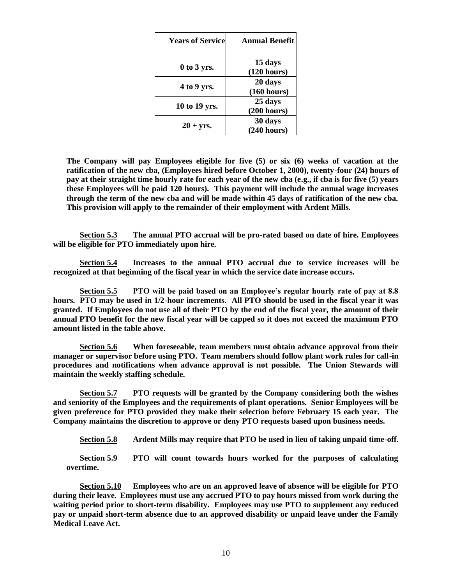| <b>Years of Service</b> | <b>Annual Benefit</b>  |
|-------------------------|------------------------|
| $0$ to 3 yrs.           | 15 days<br>(120 hours) |
| 4 to 9 yrs.             | 20 days<br>(160 hours) |
| 10 to 19 yrs.           | 25 days<br>(200 hours) |
| $20 + yrs.$             | 30 days<br>(240 hours) |

**The Company will pay Employees eligible for five (5) or six (6) weeks of vacation at the ratification of the new cba, (Employees hired before October 1, 2000), twenty-four (24) hours of pay at their straight time hourly rate for each year of the new cba (e.g., if cba is for five (5) years these Employees will be paid 120 hours). This payment will include the annual wage increases through the term of the new cba and will be made within 45 days of ratification of the new cba. This provision will apply to the remainder of their employment with Ardent Mills.**

**Section 5.3 The annual PTO accrual will be pro-rated based on date of hire. Employees will be eligible for PTO immediately upon hire.**

**Section 5.4 Increases to the annual PTO accrual due to service increases will be recognized at that beginning of the fiscal year in which the service date increase occurs.**

**Section 5.5 PTO will be paid based on an Employee's regular hourly rate of pay at 8.8 hours. PTO may be used in 1/2-hour increments. All PTO should be used in the fiscal year it was granted. If Employees do not use all of their PTO by the end of the fiscal year, the amount of their annual PTO benefit for the new fiscal year will be capped so it does not exceed the maximum PTO amount listed in the table above.** 

**Section 5.6 When foreseeable, team members must obtain advance approval from their manager or supervisor before using PTO. Team members should follow plant work rules for call-in procedures and notifications when advance approval is not possible. The Union Stewards will maintain the weekly staffing schedule.** 

**Section 5.7 PTO requests will be granted by the Company considering both the wishes and seniority of the Employees and the requirements of plant operations. Senior Employees will be given preference for PTO provided they make their selection before February 15 each year. The Company maintains the discretion to approve or deny PTO requests based upon business needs.** 

**Section 5.8 Ardent Mills may require that PTO be used in lieu of taking unpaid time-off.** 

**Section 5.9 PTO will count towards hours worked for the purposes of calculating overtime.**

**Section 5.10 Employees who are on an approved leave of absence will be eligible for PTO during their leave. Employees must use any accrued PTO to pay hours missed from work during the waiting period prior to short-term disability. Employees may use PTO to supplement any reduced pay or unpaid short-term absence due to an approved disability or unpaid leave under the Family Medical Leave Act.**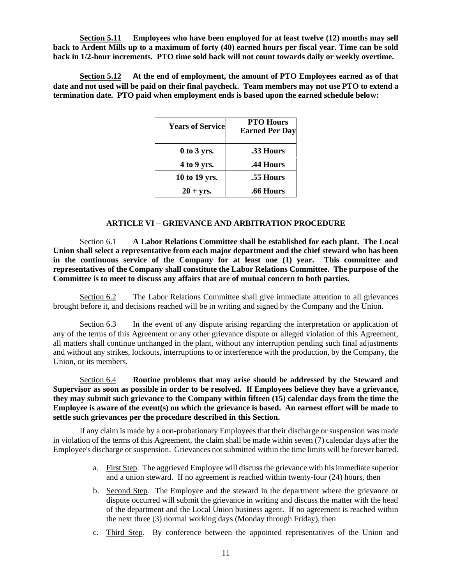**Section 5.11 Employees who have been employed for at least twelve (12) months may sell back to Ardent Mills up to a maximum of forty (40) earned hours per fiscal year. Time can be sold back in 1/2-hour increments. PTO time sold back will not count towards daily or weekly overtime.**

**Section 5.12 At the end of employment, the amount of PTO Employees earned as of that date and not used will be paid on their final paycheck. Team members may not use PTO to extend a termination date. PTO paid when employment ends is based upon the earned schedule below:** 

| <b>Years of Service</b> | <b>PTO Hours</b><br><b>Earned Per Day</b> |
|-------------------------|-------------------------------------------|
| $0$ to 3 yrs.           | .33 Hours                                 |
| 4 to 9 yrs.             | .44 Hours                                 |
| 10 to 19 yrs.           | .55 Hours                                 |
| $20 + yrs.$             | .66 Hours                                 |

#### **ARTICLE VI – GRIEVANCE AND ARBITRATION PROCEDURE**

Section 6.1 **A Labor Relations Committee shall be established for each plant. The Local Union shall select a representative from each major department and the chief steward who has been in the continuous service of the Company for at least one (1) year. This committee and representatives of the Company shall constitute the Labor Relations Committee. The purpose of the Committee is to meet to discuss any affairs that are of mutual concern to both parties.**

Section 6.2 The Labor Relations Committee shall give immediate attention to all grievances brought before it, and decisions reached will be in writing and signed by the Company and the Union.

Section 6.3 In the event of any dispute arising regarding the interpretation or application of any of the terms of this Agreement or any other grievance dispute or alleged violation of this Agreement, all matters shall continue unchanged in the plant, without any interruption pending such final adjustments and without any strikes, lockouts, interruptions to or interference with the production, by the Company, the Union, or its members.

Section 6.4 **Routine problems that may arise should be addressed by the Steward and Supervisor as soon as possible in order to be resolved. If Employees believe they have a grievance, they may submit such grievance to the Company within fifteen (15) calendar days from the time the Employee is aware of the event(s) on which the grievance is based. An earnest effort will be made to settle such grievances per the procedure described in this Section.**

If any claim is made by a non-probationary Employees that their discharge or suspension was made in violation of the terms of this Agreement, the claim shall be made within seven (7) calendar days after the Employee's discharge or suspension. Grievances not submitted within the time limits will be forever barred.

- a. First Step. The aggrieved Employee will discuss the grievance with his immediate superior and a union steward. If no agreement is reached within twenty-four (24) hours, then
- b. Second Step. The Employee and the steward in the department where the grievance or dispute occurred will submit the grievance in writing and discuss the matter with the head of the department and the Local Union business agent. If no agreement is reached within the next three (3) normal working days (Monday through Friday), then
- c. Third Step. By conference between the appointed representatives of the Union and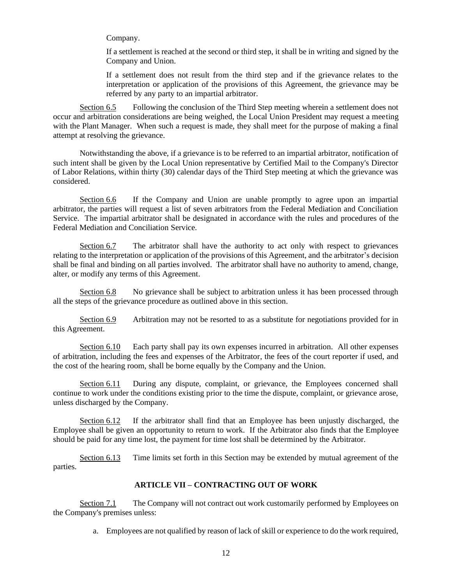Company.

If a settlement is reached at the second or third step, it shall be in writing and signed by the Company and Union.

If a settlement does not result from the third step and if the grievance relates to the interpretation or application of the provisions of this Agreement, the grievance may be referred by any party to an impartial arbitrator.

Section 6.5 Following the conclusion of the Third Step meeting wherein a settlement does not occur and arbitration considerations are being weighed, the Local Union President may request a meeting with the Plant Manager. When such a request is made, they shall meet for the purpose of making a final attempt at resolving the grievance.

Notwithstanding the above, if a grievance is to be referred to an impartial arbitrator, notification of such intent shall be given by the Local Union representative by Certified Mail to the Company's Director of Labor Relations, within thirty (30) calendar days of the Third Step meeting at which the grievance was considered.

Section 6.6 If the Company and Union are unable promptly to agree upon an impartial arbitrator, the parties will request a list of seven arbitrators from the Federal Mediation and Conciliation Service. The impartial arbitrator shall be designated in accordance with the rules and procedures of the Federal Mediation and Conciliation Service.

Section 6.7 The arbitrator shall have the authority to act only with respect to grievances relating to the interpretation or application of the provisions of this Agreement, and the arbitrator's decision shall be final and binding on all parties involved. The arbitrator shall have no authority to amend, change, alter, or modify any terms of this Agreement.

Section 6.8 No grievance shall be subject to arbitration unless it has been processed through all the steps of the grievance procedure as outlined above in this section.

Section 6.9 Arbitration may not be resorted to as a substitute for negotiations provided for in this Agreement.

Section 6.10 Each party shall pay its own expenses incurred in arbitration. All other expenses of arbitration, including the fees and expenses of the Arbitrator, the fees of the court reporter if used, and the cost of the hearing room, shall be borne equally by the Company and the Union.

Section 6.11 During any dispute, complaint, or grievance, the Employees concerned shall continue to work under the conditions existing prior to the time the dispute, complaint, or grievance arose, unless discharged by the Company.

Section 6.12 If the arbitrator shall find that an Employee has been unjustly discharged, the Employee shall be given an opportunity to return to work. If the Arbitrator also finds that the Employee should be paid for any time lost, the payment for time lost shall be determined by the Arbitrator.

Section 6.13 Time limits set forth in this Section may be extended by mutual agreement of the parties.

# **ARTICLE VII – CONTRACTING OUT OF WORK**

Section 7.1 The Company will not contract out work customarily performed by Employees on the Company's premises unless:

a. Employees are not qualified by reason of lack of skill or experience to do the work required,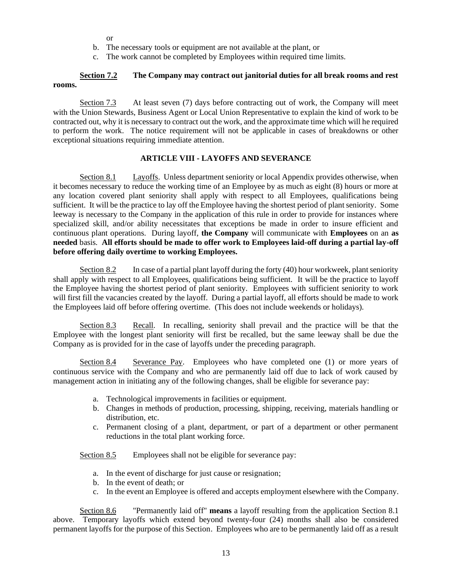or

- b. The necessary tools or equipment are not available at the plant, or
- c. The work cannot be completed by Employees within required time limits.

### **Section 7.2 The Company may contract out janitorial duties for all break rooms and rest rooms.**

Section 7.3 At least seven (7) days before contracting out of work, the Company will meet with the Union Stewards, Business Agent or Local Union Representative to explain the kind of work to be contracted out, why it is necessary to contract out the work, and the approximate time which will he required to perform the work. The notice requirement will not be applicable in cases of breakdowns or other exceptional situations requiring immediate attention.

# **ARTICLE VIII - LAYOFFS AND SEVERANCE**

Section 8.1 Layoffs. Unless department seniority or local Appendix provides otherwise, when it becomes necessary to reduce the working time of an Employee by as much as eight (8) hours or more at any location covered plant seniority shall apply with respect to all Employees, qualifications being sufficient. It will be the practice to lay off the Employee having the shortest period of plant seniority. Some leeway is necessary to the Company in the application of this rule in order to provide for instances where specialized skill, and/or ability necessitates that exceptions be made in order to insure efficient and continuous plant operations. During layoff, **the Company** will communicate with **Employees** on an **as needed** basis. **All efforts should be made to offer work to Employees laid-off during a partial lay-off before offering daily overtime to working Employees.**

Section 8.2 In case of a partial plant layoff during the forty (40) hour workweek, plant seniority shall apply with respect to all Employees, qualifications being sufficient. It will be the practice to layoff the Employee having the shortest period of plant seniority. Employees with sufficient seniority to work will first fill the vacancies created by the layoff. During a partial layoff, all efforts should be made to work the Employees laid off before offering overtime. (This does not include weekends or holidays).

Section 8.3 Recall. In recalling, seniority shall prevail and the practice will be that the Employee with the longest plant seniority will first be recalled, but the same leeway shall be due the Company as is provided for in the case of layoffs under the preceding paragraph.

Section 8.4 Severance Pay. Employees who have completed one (1) or more years of continuous service with the Company and who are permanently laid off due to lack of work caused by management action in initiating any of the following changes, shall be eligible for severance pay:

- a. Technological improvements in facilities or equipment.
- b. Changes in methods of production, processing, shipping, receiving, materials handling or distribution, etc.
- c. Permanent closing of a plant, department, or part of a department or other permanent reductions in the total plant working force.

Section 8.5 Employees shall not be eligible for severance pay:

- a. In the event of discharge for just cause or resignation;
- b. In the event of death; or
- c. In the event an Employee is offered and accepts employment elsewhere with the Company.

Section 8.6 "Permanently laid off" **means** a layoff resulting from the application Section 8.1 above. Temporary layoffs which extend beyond twenty-four (24) months shall also be considered permanent layoffs for the purpose of this Section. Employees who are to be permanently laid off as a result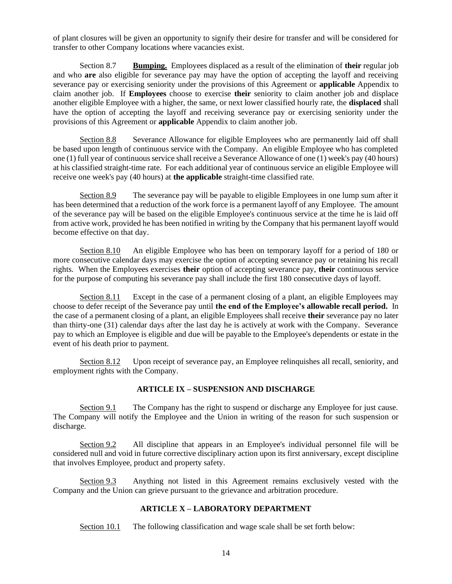of plant closures will be given an opportunity to signify their desire for transfer and will be considered for transfer to other Company locations where vacancies exist.

Section 8.7 **Bumping.** Employees displaced as a result of the elimination of **their** regular job and who **are** also eligible for severance pay may have the option of accepting the layoff and receiving severance pay or exercising seniority under the provisions of this Agreement or **applicable** Appendix to claim another job. If **Employees** choose to exercise **their** seniority to claim another job and displace another eligible Employee with a higher, the same, or next lower classified hourly rate, the **displaced** shall have the option of accepting the layoff and receiving severance pay or exercising seniority under the provisions of this Agreement or **applicable** Appendix to claim another job.

Section 8.8 Severance Allowance for eligible Employees who are permanently laid off shall be based upon length of continuous service with the Company. An eligible Employee who has completed one (1) full year of continuous service shall receive a Severance Allowance of one (1) week's pay (40 hours) at his classified straight-time rate. For each additional year of continuous service an eligible Employee will receive one week's pay (40 hours) at **the applicable** straight-time classified rate.

Section 8.9 The severance pay will be payable to eligible Employees in one lump sum after it has been determined that a reduction of the work force is a permanent layoff of any Employee. The amount of the severance pay will be based on the eligible Employee's continuous service at the time he is laid off from active work, provided he has been notified in writing by the Company that his permanent layoff would become effective on that day.

Section 8.10 An eligible Employee who has been on temporary layoff for a period of 180 or more consecutive calendar days may exercise the option of accepting severance pay or retaining his recall rights. When the Employees exercises **their** option of accepting severance pay, **their** continuous service for the purpose of computing his severance pay shall include the first 180 consecutive days of layoff.

Section 8.11 Except in the case of a permanent closing of a plant, an eligible Employees may choose to defer receipt of the Severance pay until **the end of the Employee's allowable recall period.** In the case of a permanent closing of a plant, an eligible Employees shall receive **their** severance pay no later than thirty-one (31) calendar days after the last day he is actively at work with the Company. Severance pay to which an Employee is eligible and due will be payable to the Employee's dependents or estate in the event of his death prior to payment.

Section 8.12 Upon receipt of severance pay, an Employee relinquishes all recall, seniority, and employment rights with the Company.

# **ARTICLE IX – SUSPENSION AND DISCHARGE**

Section 9.1 The Company has the right to suspend or discharge any Employee for just cause. The Company will notify the Employee and the Union in writing of the reason for such suspension or discharge.

Section 9.2 All discipline that appears in an Employee's individual personnel file will be considered null and void in future corrective disciplinary action upon its first anniversary, except discipline that involves Employee, product and property safety.

Section 9.3 Anything not listed in this Agreement remains exclusively vested with the Company and the Union can grieve pursuant to the grievance and arbitration procedure.

# **ARTICLE X – LABORATORY DEPARTMENT**

Section 10.1 The following classification and wage scale shall be set forth below: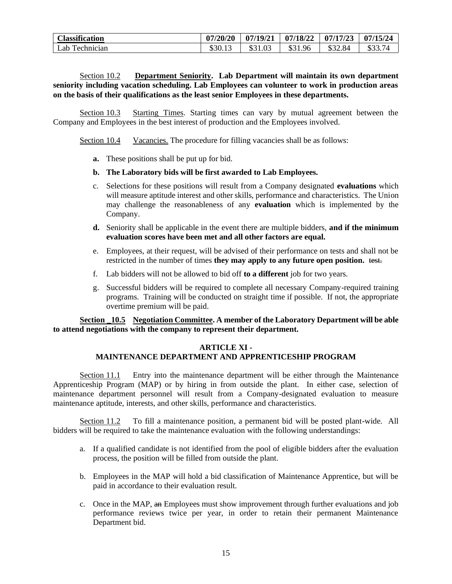| <b>Classification</b> | 07/20/20 | 07/19/21 | 07/18/22     | 07/17/23 | 07/15/24          |
|-----------------------|----------|----------|--------------|----------|-------------------|
| Lab Technician        | \$30.13  | \$31.03  | \$31.<br>.96 | \$32.84  | \$3374<br>d 33. I |

# Section 10.2 **Department Seniority. Lab Department will maintain its own department seniority including vacation scheduling. Lab Employees can volunteer to work in production areas on the basis of their qualifications as the least senior Employees in these departments.**

Section 10.3 Starting Times. Starting times can vary by mutual agreement between the Company and Employees in the best interest of production and the Employees involved.

Section 10.4 Vacancies. The procedure for filling vacancies shall be as follows:

- **a.** These positions shall be put up for bid.
- **b. The Laboratory bids will be first awarded to Lab Employees.**
- c. Selections for these positions will result from a Company designated **evaluations** which will measure aptitude interest and other skills, performance and characteristics. The Union may challenge the reasonableness of any **evaluation** which is implemented by the Company.
- **d.** Seniority shall be applicable in the event there are multiple bidders, **and if the minimum evaluation scores have been met and all other factors are equal.**
- e. Employees, at their request, will be advised of their performance on tests and shall not be restricted in the number of times **they may apply to any future open position.** test.
- f. Lab bidders will not be allowed to bid off **to a different** job for two years.
- g. Successful bidders will be required to complete all necessary Company-required training programs. Training will be conducted on straight time if possible. If not, the appropriate overtime premium will be paid.

**Section \_10.5 Negotiation Committee. A member of the Laboratory Department will be able to attend negotiations with the company to represent their department.** 

#### **ARTICLE XI -**

# **MAINTENANCE DEPARTMENT AND APPRENTICESHIP PROGRAM**

Section 11.1 Entry into the maintenance department will be either through the Maintenance Apprenticeship Program (MAP) or by hiring in from outside the plant. In either case, selection of maintenance department personnel will result from a Company-designated evaluation to measure maintenance aptitude, interests, and other skills, performance and characteristics.

Section 11.2 To fill a maintenance position, a permanent bid will be posted plant-wide. All bidders will be required to take the maintenance evaluation with the following understandings:

- a. If a qualified candidate is not identified from the pool of eligible bidders after the evaluation process, the position will be filled from outside the plant.
- b. Employees in the MAP will hold a bid classification of Maintenance Apprentice, but will be paid in accordance to their evaluation result.
- c. Once in the MAP, an Employees must show improvement through further evaluations and job performance reviews twice per year, in order to retain their permanent Maintenance Department bid.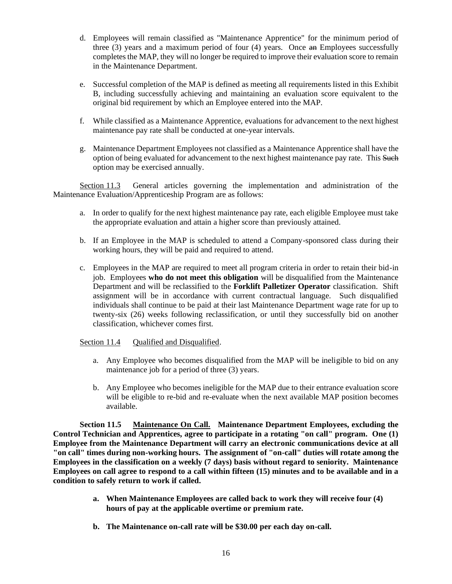- d. Employees will remain classified as "Maintenance Apprentice" for the minimum period of three  $(3)$  years and a maximum period of four  $(4)$  years. Once an Employees successfully completes the MAP, they will no longer be required to improve their evaluation score to remain in the Maintenance Department.
- e. Successful completion of the MAP is defined as meeting all requirements listed in this Exhibit B, including successfully achieving and maintaining an evaluation score equivalent to the original bid requirement by which an Employee entered into the MAP.
- f. While classified as a Maintenance Apprentice, evaluations for advancement to the next highest maintenance pay rate shall be conducted at one-year intervals.
- g. Maintenance Department Employees not classified as a Maintenance Apprentice shall have the option of being evaluated for advancement to the next highest maintenance pay rate. This Such option may be exercised annually.

Section 11.3 General articles governing the implementation and administration of the Maintenance Evaluation/Apprenticeship Program are as follows:

- a. In order to qualify for the next highest maintenance pay rate, each eligible Employee must take the appropriate evaluation and attain a higher score than previously attained.
- b. If an Employee in the MAP is scheduled to attend a Company-sponsored class during their working hours, they will be paid and required to attend.
- c. Employees in the MAP are required to meet all program criteria in order to retain their bid-in job. Employees **who do not meet this obligation** will be disqualified from the Maintenance Department and will be reclassified to the **Forklift Palletizer Operator** classification. Shift assignment will be in accordance with current contractual language. Such disqualified individuals shall continue to be paid at their last Maintenance Department wage rate for up to twenty-six (26) weeks following reclassification, or until they successfully bid on another classification, whichever comes first.

# Section 11.4 Oualified and Disqualified.

- a. Any Employee who becomes disqualified from the MAP will be ineligible to bid on any maintenance job for a period of three (3) years.
- b. Any Employee who becomes ineligible for the MAP due to their entrance evaluation score will be eligible to re-bid and re-evaluate when the next available MAP position becomes available.

**Section 11.5 Maintenance On Call. Maintenance Department Employees, excluding the Control Technician and Apprentices, agree to participate in a rotating "on call" program. One (1) Employee from the Maintenance Department will carry an electronic communications device at all "on call" times during non-working hours. The assignment of "on-call" duties will rotate among the Employees in the classification on a weekly (7 days) basis without regard to seniority. Maintenance Employees on call agree to respond to a call within fifteen (15) minutes and to be available and in a condition to safely return to work if called.** 

- **a. When Maintenance Employees are called back to work they will receive four (4) hours of pay at the applicable overtime or premium rate.**
- **b. The Maintenance on-call rate will be \$30.00 per each day on-call.**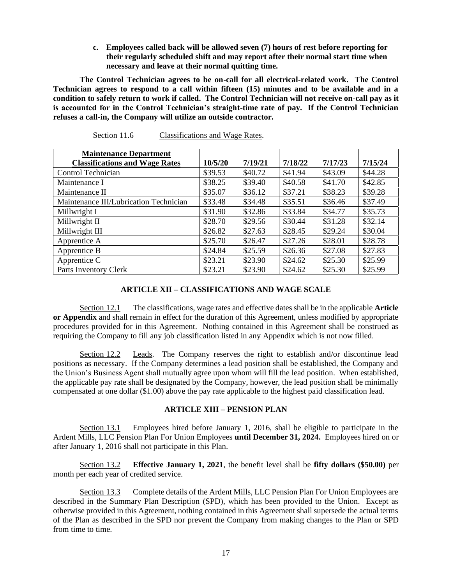**c. Employees called back will be allowed seven (7) hours of rest before reporting for their regularly scheduled shift and may report after their normal start time when necessary and leave at their normal quitting time.** 

**The Control Technician agrees to be on-call for all electrical-related work. The Control Technician agrees to respond to a call within fifteen (15) minutes and to be available and in a condition to safely return to work if called. The Control Technician will not receive on-call pay as it is accounted for in the Control Technician's straight-time rate of pay. If the Control Technician refuses a call-in, the Company will utilize an outside contractor.** 

| <b>Maintenance Department</b>          |         |         |         |         |         |
|----------------------------------------|---------|---------|---------|---------|---------|
| <b>Classifications and Wage Rates</b>  | 10/5/20 | 7/19/21 | 7/18/22 | 7/17/23 | 7/15/24 |
| Control Technician                     | \$39.53 | \$40.72 | \$41.94 | \$43.09 | \$44.28 |
| Maintenance I                          | \$38.25 | \$39.40 | \$40.58 | \$41.70 | \$42.85 |
| Maintenance II                         | \$35.07 | \$36.12 | \$37.21 | \$38.23 | \$39.28 |
| Maintenance III/Lubrication Technician | \$33.48 | \$34.48 | \$35.51 | \$36.46 | \$37.49 |
| Millwright I                           | \$31.90 | \$32.86 | \$33.84 | \$34.77 | \$35.73 |
| Millwright II                          | \$28.70 | \$29.56 | \$30.44 | \$31.28 | \$32.14 |
| Millwright III                         | \$26.82 | \$27.63 | \$28.45 | \$29.24 | \$30.04 |
| Apprentice A                           | \$25.70 | \$26.47 | \$27.26 | \$28.01 | \$28.78 |
| Apprentice B                           | \$24.84 | \$25.59 | \$26.36 | \$27.08 | \$27.83 |
| Apprentice C                           | \$23.21 | \$23.90 | \$24.62 | \$25.30 | \$25.99 |
| Parts Inventory Clerk                  | \$23.21 | \$23.90 | \$24.62 | \$25.30 | \$25.99 |

| Section 11.6 | Classifications and Wage Rates. |  |
|--------------|---------------------------------|--|
|              |                                 |  |

# **ARTICLE XII – CLASSIFICATIONS AND WAGE SCALE**

Section 12.1 The classifications, wage rates and effective dates shall be in the applicable **Article or Appendix** and shall remain in effect for the duration of this Agreement, unless modified by appropriate procedures provided for in this Agreement. Nothing contained in this Agreement shall be construed as requiring the Company to fill any job classification listed in any Appendix which is not now filled.

Section 12.2 Leads. The Company reserves the right to establish and/or discontinue lead positions as necessary. If the Company determines a lead position shall be established, the Company and the Union's Business Agent shall mutually agree upon whom will fill the lead position. When established, the applicable pay rate shall be designated by the Company, however, the lead position shall be minimally compensated at one dollar (\$1.00) above the pay rate applicable to the highest paid classification lead.

# **ARTICLE XIII – PENSION PLAN**

Section 13.1 Employees hired before January 1, 2016, shall be eligible to participate in the Ardent Mills, LLC Pension Plan For Union Employees **until December 31, 2024.** Employees hired on or after January 1, 2016 shall not participate in this Plan.

Section 13.2 **Effective January 1, 2021**, the benefit level shall be **fifty dollars (\$50.00)** per month per each year of credited service.

Section 13.3 Complete details of the Ardent Mills, LLC Pension Plan For Union Employees are described in the Summary Plan Description (SPD), which has been provided to the Union. Except as otherwise provided in this Agreement, nothing contained in this Agreement shall supersede the actual terms of the Plan as described in the SPD nor prevent the Company from making changes to the Plan or SPD from time to time.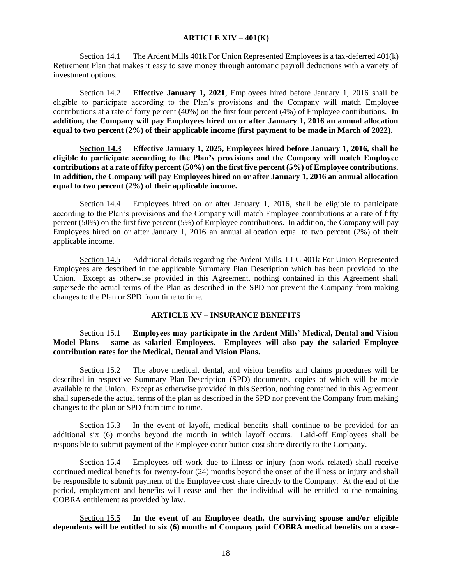#### **ARTICLE XIV – 401(K)**

Section 14.1 The Ardent Mills 401k For Union Represented Employees is a tax-deferred 401(k) Retirement Plan that makes it easy to save money through automatic payroll deductions with a variety of investment options.

Section 14.2 **Effective January 1, 2021**, Employees hired before January 1, 2016 shall be eligible to participate according to the Plan's provisions and the Company will match Employee contributions at a rate of forty percent (40%) on the first four percent (4%) of Employee contributions. **In addition, the Company will pay Employees hired on or after January 1, 2016 an annual allocation equal to two percent (2%) of their applicable income (first payment to be made in March of 2022).**

**Section 14.3 Effective January 1, 2025, Employees hired before January 1, 2016, shall be eligible to participate according to the Plan's provisions and the Company will match Employee contributions at a rate of fifty percent (50%) on the first five percent (5%) of Employee contributions. In addition, the Company will pay Employees hired on or after January 1, 2016 an annual allocation equal to two percent (2%) of their applicable income.**

Section 14.4 Employees hired on or after January 1, 2016, shall be eligible to participate according to the Plan's provisions and the Company will match Employee contributions at a rate of fifty percent (50%) on the first five percent (5%) of Employee contributions. In addition, the Company will pay Employees hired on or after January 1, 2016 an annual allocation equal to two percent (2%) of their applicable income.

Section 14.5 Additional details regarding the Ardent Mills, LLC 401k For Union Represented Employees are described in the applicable Summary Plan Description which has been provided to the Union. Except as otherwise provided in this Agreement, nothing contained in this Agreement shall supersede the actual terms of the Plan as described in the SPD nor prevent the Company from making changes to the Plan or SPD from time to time.

#### **ARTICLE XV – INSURANCE BENEFITS**

# Section 15.1 **Employees may participate in the Ardent Mills' Medical, Dental and Vision Model Plans – same as salaried Employees. Employees will also pay the salaried Employee contribution rates for the Medical, Dental and Vision Plans.**

Section 15.2 The above medical, dental, and vision benefits and claims procedures will be described in respective Summary Plan Description (SPD) documents, copies of which will be made available to the Union. Except as otherwise provided in this Section, nothing contained in this Agreement shall supersede the actual terms of the plan as described in the SPD nor prevent the Company from making changes to the plan or SPD from time to time.

Section 15.3 In the event of layoff, medical benefits shall continue to be provided for an additional six (6) months beyond the month in which layoff occurs. Laid-off Employees shall be responsible to submit payment of the Employee contribution cost share directly to the Company.

Section 15.4 Employees off work due to illness or injury (non-work related) shall receive continued medical benefits for twenty-four (24) months beyond the onset of the illness or injury and shall be responsible to submit payment of the Employee cost share directly to the Company. At the end of the period, employment and benefits will cease and then the individual will be entitled to the remaining COBRA entitlement as provided by law.

Section 15.5 **In the event of an Employee death, the surviving spouse and/or eligible dependents will be entitled to six (6) months of Company paid COBRA medical benefits on a case-**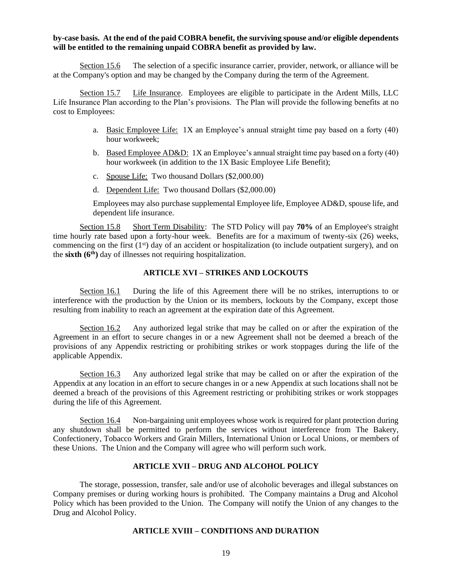#### **by-case basis. At the end of the paid COBRA benefit, the surviving spouse and/or eligible dependents will be entitled to the remaining unpaid COBRA benefit as provided by law.**

Section 15.6 The selection of a specific insurance carrier, provider, network, or alliance will be at the Company's option and may be changed by the Company during the term of the Agreement.

Section 15.7 Life Insurance. Employees are eligible to participate in the Ardent Mills, LLC Life Insurance Plan according to the Plan's provisions. The Plan will provide the following benefits at no cost to Employees:

- a. Basic Employee Life: 1X an Employee's annual straight time pay based on a forty (40) hour workweek;
- b. Based Employee AD&D: 1X an Employee's annual straight time pay based on a forty (40) hour workweek (in addition to the 1X Basic Employee Life Benefit);
- c. Spouse Life: Two thousand Dollars (\$2,000.00)
- d. Dependent Life: Two thousand Dollars (\$2,000.00)

Employees may also purchase supplemental Employee life, Employee AD&D, spouse life, and dependent life insurance.

Section 15.8 Short Term Disability: The STD Policy will pay 70% of an Employee's straight time hourly rate based upon a forty-hour week. Benefits are for a maximum of twenty-six (26) weeks, commencing on the first  $(1<sup>st</sup>)$  day of an accident or hospitalization (to include outpatient surgery), and on the **sixth (6th)** day of illnesses not requiring hospitalization.

#### **ARTICLE XVI – STRIKES AND LOCKOUTS**

Section 16.1 During the life of this Agreement there will be no strikes, interruptions to or interference with the production by the Union or its members, lockouts by the Company, except those resulting from inability to reach an agreement at the expiration date of this Agreement.

Section 16.2 Any authorized legal strike that may be called on or after the expiration of the Agreement in an effort to secure changes in or a new Agreement shall not be deemed a breach of the provisions of any Appendix restricting or prohibiting strikes or work stoppages during the life of the applicable Appendix.

Section 16.3 Any authorized legal strike that may be called on or after the expiration of the Appendix at any location in an effort to secure changes in or a new Appendix at such locations shall not be deemed a breach of the provisions of this Agreement restricting or prohibiting strikes or work stoppages during the life of this Agreement.

Section 16.4 Non-bargaining unit employees whose work is required for plant protection during any shutdown shall be permitted to perform the services without interference from The Bakery, Confectionery, Tobacco Workers and Grain Millers, International Union or Local Unions, or members of these Unions. The Union and the Company will agree who will perform such work.

# **ARTICLE XVII – DRUG AND ALCOHOL POLICY**

The storage, possession, transfer, sale and/or use of alcoholic beverages and illegal substances on Company premises or during working hours is prohibited. The Company maintains a Drug and Alcohol Policy which has been provided to the Union. The Company will notify the Union of any changes to the Drug and Alcohol Policy.

# **ARTICLE XVIII – CONDITIONS AND DURATION**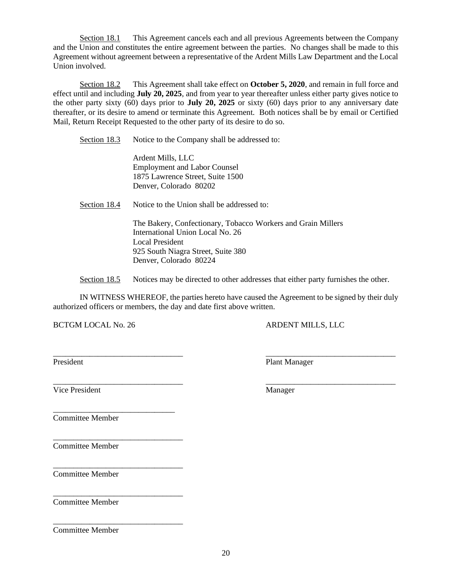Section 18.1 This Agreement cancels each and all previous Agreements between the Company and the Union and constitutes the entire agreement between the parties. No changes shall be made to this Agreement without agreement between a representative of the Ardent Mills Law Department and the Local Union involved.

Section 18.2 This Agreement shall take effect on **October 5, 2020**, and remain in full force and effect until and including **July 20, 2025**, and from year to year thereafter unless either party gives notice to the other party sixty (60) days prior to **July 20, 2025** or sixty (60) days prior to any anniversary date thereafter, or its desire to amend or terminate this Agreement. Both notices shall be by email or Certified Mail, Return Receipt Requested to the other party of its desire to do so.

Section 18.3 Notice to the Company shall be addressed to:

Ardent Mills, LLC Employment and Labor Counsel 1875 Lawrence Street, Suite 1500 Denver, Colorado 80202

Section 18.4 Notice to the Union shall be addressed to:

The Bakery, Confectionary, Tobacco Workers and Grain Millers International Union Local No. 26 Local President 925 South Niagra Street, Suite 380 Denver, Colorado 80224

Section 18.5 Notices may be directed to other addresses that either party furnishes the other.

IN WITNESS WHEREOF, the parties hereto have caused the Agreement to be signed by their duly authorized officers or members, the day and date first above written.

\_\_\_\_\_\_\_\_\_\_\_\_\_\_\_\_\_\_\_\_\_\_\_\_\_\_\_\_\_\_\_\_ \_\_\_\_\_\_\_\_\_\_\_\_\_\_\_\_\_\_\_\_\_\_\_\_\_\_\_\_\_\_\_\_

BCTGM LOCAL No. 26 ARDENT MILLS, LLC

President Plant Manager

\_\_\_\_\_\_\_\_\_\_\_\_\_\_\_\_\_\_\_\_\_\_\_\_\_\_\_\_\_\_\_\_ \_\_\_\_\_\_\_\_\_\_\_\_\_\_\_\_\_\_\_\_\_\_\_\_\_\_\_\_\_\_\_\_ Vice President Manager

\_\_\_\_\_\_\_\_\_\_\_\_\_\_\_\_\_\_\_\_\_\_\_\_\_\_\_\_\_\_ Committee Member

\_\_\_\_\_\_\_\_\_\_\_\_\_\_\_\_\_\_\_\_\_\_\_\_\_\_\_\_\_\_\_\_ Committee Member

Committee Member

\_\_\_\_\_\_\_\_\_\_\_\_\_\_\_\_\_\_\_\_\_\_\_\_\_\_\_\_\_\_\_\_

\_\_\_\_\_\_\_\_\_\_\_\_\_\_\_\_\_\_\_\_\_\_\_\_\_\_\_\_\_\_\_\_

Committee Member

\_\_\_\_\_\_\_\_\_\_\_\_\_\_\_\_\_\_\_\_\_\_\_\_\_\_\_\_\_\_\_\_ Committee Member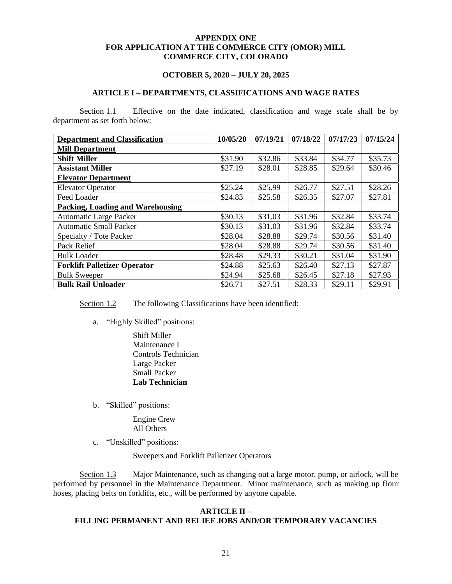#### **APPENDIX ONE FOR APPLICATION AT THE COMMERCE CITY (OMOR) MILL COMMERCE CITY, COLORADO**

#### **OCTOBER 5, 2020 – JULY 20, 2025**

#### **ARTICLE I – DEPARTMENTS, CLASSIFICATIONS AND WAGE RATES**

Section 1.1 Effective on the date indicated, classification and wage scale shall be by department as set forth below:

| <b>Department and Classification</b>    | 10/05/20 | 07/19/21 | 07/18/22 | 07/17/23 | 07/15/24 |
|-----------------------------------------|----------|----------|----------|----------|----------|
| <b>Mill Department</b>                  |          |          |          |          |          |
| <b>Shift Miller</b>                     | \$31.90  | \$32.86  | \$33.84  | \$34.77  | \$35.73  |
| <b>Assistant Miller</b>                 | \$27.19  | \$28.01  | \$28.85  | \$29.64  | \$30.46  |
| <b>Elevator Department</b>              |          |          |          |          |          |
| <b>Elevator Operator</b>                | \$25.24  | \$25.99  | \$26.77  | \$27.51  | \$28.26  |
| Feed Loader                             | \$24.83  | \$25.58  | \$26.35  | \$27.07  | \$27.81  |
| <b>Packing, Loading and Warehousing</b> |          |          |          |          |          |
| <b>Automatic Large Packer</b>           | \$30.13  | \$31.03  | \$31.96  | \$32.84  | \$33.74  |
| <b>Automatic Small Packer</b>           | \$30.13  | \$31.03  | \$31.96  | \$32.84  | \$33.74  |
| Specialty / Tote Packer                 | \$28.04  | \$28.88  | \$29.74  | \$30.56  | \$31.40  |
| Pack Relief                             | \$28.04  | \$28.88  | \$29.74  | \$30.56  | \$31.40  |
| <b>Bulk Loader</b>                      | \$28.48  | \$29.33  | \$30.21  | \$31.04  | \$31.90  |
| <b>Forklift Palletizer Operator</b>     | \$24.88  | \$25.63  | \$26.40  | \$27.13  | \$27.87  |
| <b>Bulk Sweeper</b>                     | \$24.94  | \$25.68  | \$26.45  | \$27.18  | \$27.93  |
| <b>Bulk Rail Unloader</b>               | \$26.71  | \$27.51  | \$28.33  | \$29.11  | \$29.91  |

Section 1.2 The following Classifications have been identified:

- a. "Highly Skilled" positions:
	- Shift Miller Maintenance I Controls Technician Large Packer Small Packer **Lab Technician**
- b. "Skilled" positions:

Engine Crew All Others

c. "Unskilled" positions:

Sweepers and Forklift Palletizer Operators

Section 1.3 Major Maintenance, such as changing out a large motor, pump, or airlock, will be performed by personnel in the Maintenance Department. Minor maintenance, such as making up flour hoses, placing belts on forklifts, etc., will be performed by anyone capable.

#### **ARTICLE II – FILLING PERMANENT AND RELIEF JOBS AND/OR TEMPORARY VACANCIES**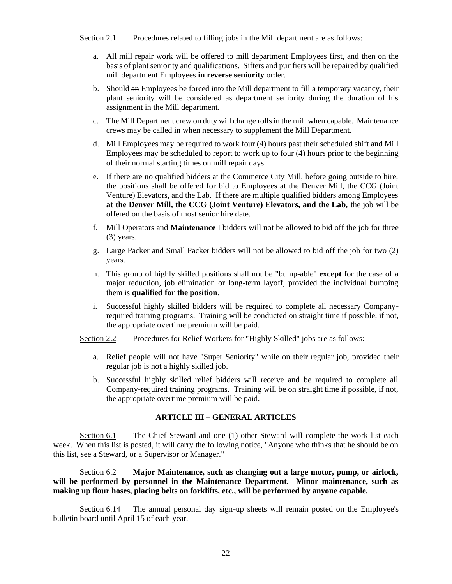Section 2.1 Procedures related to filling jobs in the Mill department are as follows:

- a. All mill repair work will be offered to mill department Employees first, and then on the basis of plant seniority and qualifications. Sifters and purifiers will be repaired by qualified mill department Employees **in reverse seniority** order.
- b. Should an Employees be forced into the Mill department to fill a temporary vacancy, their plant seniority will be considered as department seniority during the duration of his assignment in the Mill department.
- c. The Mill Department crew on duty will change rolls in the mill when capable. Maintenance crews may be called in when necessary to supplement the Mill Department.
- d. Mill Employees may be required to work four (4) hours past their scheduled shift and Mill Employees may be scheduled to report to work up to four (4) hours prior to the beginning of their normal starting times on mill repair days.
- e. If there are no qualified bidders at the Commerce City Mill, before going outside to hire, the positions shall be offered for bid to Employees at the Denver Mill, the CCG (Joint Venture) Elevators, and the Lab. If there are multiple qualified bidders among Employees **at the Denver Mill, the CCG (Joint Venture) Elevators, and the Lab,** the job will be offered on the basis of most senior hire date.
- f. Mill Operators and **Maintenance** I bidders will not be allowed to bid off the job for three (3) years.
- g. Large Packer and Small Packer bidders will not be allowed to bid off the job for two (2) years.
- h. This group of highly skilled positions shall not be "bump-able" **except** for the case of a major reduction, job elimination or long-term layoff, provided the individual bumping them is **qualified for the position**.
- i. Successful highly skilled bidders will be required to complete all necessary Companyrequired training programs. Training will be conducted on straight time if possible, if not, the appropriate overtime premium will be paid.

Section 2.2 Procedures for Relief Workers for "Highly Skilled" jobs are as follows:

- a. Relief people will not have "Super Seniority" while on their regular job, provided their regular job is not a highly skilled job.
- b. Successful highly skilled relief bidders will receive and be required to complete all Company-required training programs. Training will be on straight time if possible, if not, the appropriate overtime premium will be paid.

# **ARTICLE III – GENERAL ARTICLES**

Section 6.1 The Chief Steward and one (1) other Steward will complete the work list each week. When this list is posted, it will carry the following notice, "Anyone who thinks that he should be on this list, see a Steward, or a Supervisor or Manager."

Section 6.2 **Major Maintenance, such as changing out a large motor, pump, or airlock, will be performed by personnel in the Maintenance Department. Minor maintenance, such as making up flour hoses, placing belts on forklifts, etc., will be performed by anyone capable.**

Section 6.14 The annual personal day sign-up sheets will remain posted on the Employee's bulletin board until April 15 of each year.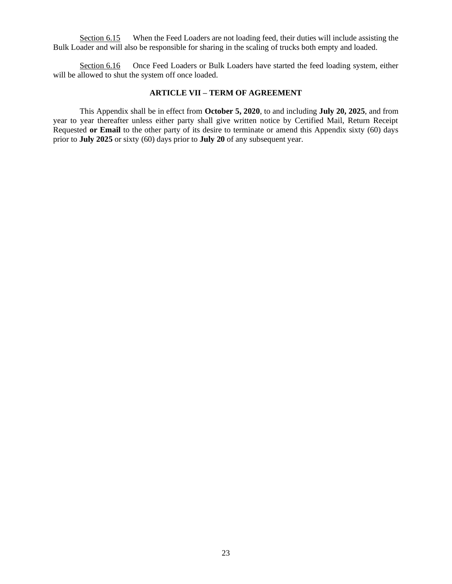Section 6.15 When the Feed Loaders are not loading feed, their duties will include assisting the Bulk Loader and will also be responsible for sharing in the scaling of trucks both empty and loaded.

Section 6.16 Once Feed Loaders or Bulk Loaders have started the feed loading system, either will be allowed to shut the system off once loaded.

#### **ARTICLE VII – TERM OF AGREEMENT**

This Appendix shall be in effect from **October 5, 2020**, to and including **July 20, 2025**, and from year to year thereafter unless either party shall give written notice by Certified Mail, Return Receipt Requested **or Email** to the other party of its desire to terminate or amend this Appendix sixty (60) days prior to **July 2025** or sixty (60) days prior to **July 20** of any subsequent year.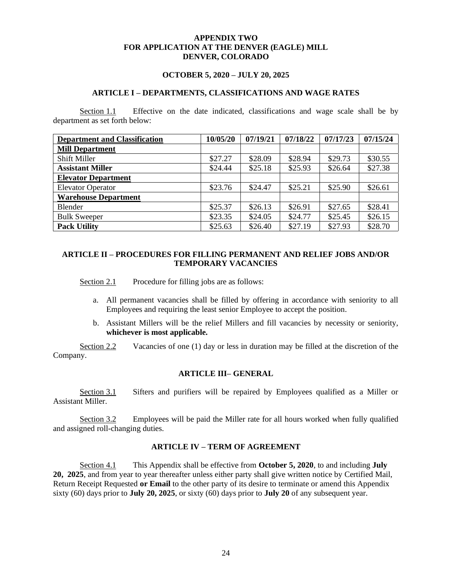#### **APPENDIX TWO FOR APPLICATION AT THE DENVER (EAGLE) MILL DENVER, COLORADO**

#### **OCTOBER 5, 2020 – JULY 20, 2025**

#### **ARTICLE I – DEPARTMENTS, CLASSIFICATIONS AND WAGE RATES**

Section 1.1 Effective on the date indicated, classifications and wage scale shall be by department as set forth below:

| <b>Department and Classification</b> | 10/05/20 | 07/19/21 | 07/18/22 | 07/17/23 | 07/15/24 |
|--------------------------------------|----------|----------|----------|----------|----------|
| <b>Mill Department</b>               |          |          |          |          |          |
| <b>Shift Miller</b>                  | \$27.27  | \$28.09  | \$28.94  | \$29.73  | \$30.55  |
| <b>Assistant Miller</b>              | \$24.44  | \$25.18  | \$25.93  | \$26.64  | \$27.38  |
| <b>Elevator Department</b>           |          |          |          |          |          |
| <b>Elevator Operator</b>             | \$23.76  | \$24.47  | \$25.21  | \$25.90  | \$26.61  |
| <b>Warehouse Department</b>          |          |          |          |          |          |
| Blender                              | \$25.37  | \$26.13  | \$26.91  | \$27.65  | \$28.41  |
| <b>Bulk Sweeper</b>                  | \$23.35  | \$24.05  | \$24.77  | \$25.45  | \$26.15  |
| <b>Pack Utility</b>                  | \$25.63  | \$26.40  | \$27.19  | \$27.93  | \$28.70  |

### **ARTICLE II – PROCEDURES FOR FILLING PERMANENT AND RELIEF JOBS AND/OR TEMPORARY VACANCIES**

Section 2.1 Procedure for filling jobs are as follows:

- a. All permanent vacancies shall be filled by offering in accordance with seniority to all Employees and requiring the least senior Employee to accept the position.
- b. Assistant Millers will be the relief Millers and fill vacancies by necessity or seniority, **whichever is most applicable.**

Section 2.2 Vacancies of one (1) day or less in duration may be filled at the discretion of the Company.

#### **ARTICLE III– GENERAL**

Section 3.1 Sifters and purifiers will be repaired by Employees qualified as a Miller or Assistant Miller.

Section 3.2 Employees will be paid the Miller rate for all hours worked when fully qualified and assigned roll-changing duties.

#### **ARTICLE IV – TERM OF AGREEMENT**

Section 4.1 This Appendix shall be effective from **October 5, 2020**, to and including **July 20, 2025**, and from year to year thereafter unless either party shall give written notice by Certified Mail, Return Receipt Requested **or Email** to the other party of its desire to terminate or amend this Appendix sixty (60) days prior to **July 20, 2025**, or sixty (60) days prior to **July 20** of any subsequent year.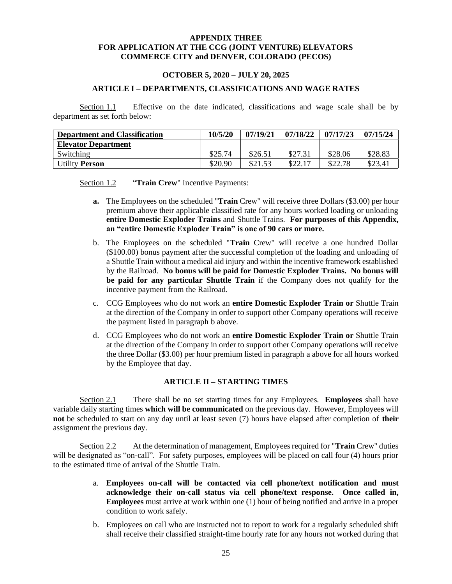#### **APPENDIX THREE FOR APPLICATION AT THE CCG (JOINT VENTURE) ELEVATORS COMMERCE CITY and DENVER, COLORADO (PECOS)**

#### **OCTOBER 5, 2020 – JULY 20, 2025**

#### **ARTICLE I – DEPARTMENTS, CLASSIFICATIONS AND WAGE RATES**

Section 1.1 Effective on the date indicated, classifications and wage scale shall be by department as set forth below:

| <b>Department and Classification</b> | 10/5/20 | 07/19/21 | 07/18/22        | 07/17/23 | 07/15/24 |
|--------------------------------------|---------|----------|-----------------|----------|----------|
| <b>Elevator Department</b>           |         |          |                 |          |          |
| Switching                            | \$25.74 | \$26.51  | \$27.31         | \$28.06  | \$28.83  |
| <b>Utility Person</b>                | \$20.90 | \$21.53  | $$22.1^{\circ}$ | \$22.78  | \$23.41  |

Section 1.2 "**Train Crew**" Incentive Payments:

- **a.** The Employees on the scheduled "**Train** Crew" will receive three Dollars (\$3.00) per hour premium above their applicable classified rate for any hours worked loading or unloading **entire Domestic Exploder Trains** and Shuttle Trains. **For purposes of this Appendix, an "entire Domestic Exploder Train" is one of 90 cars or more.**
- b. The Employees on the scheduled "**Train** Crew" will receive a one hundred Dollar (\$100.00) bonus payment after the successful completion of the loading and unloading of a Shuttle Train without a medical aid injury and within the incentive framework established by the Railroad. **No bonus will be paid for Domestic Exploder Trains. No bonus will be paid for any particular Shuttle Train** if the Company does not qualify for the incentive payment from the Railroad.
- c. CCG Employees who do not work an **entire Domestic Exploder Train or** Shuttle Train at the direction of the Company in order to support other Company operations will receive the payment listed in paragraph b above.
- d. CCG Employees who do not work an **entire Domestic Exploder Train or** Shuttle Train at the direction of the Company in order to support other Company operations will receive the three Dollar (\$3.00) per hour premium listed in paragraph a above for all hours worked by the Employee that day.

# **ARTICLE II – STARTING TIMES**

Section 2.1 There shall be no set starting times for any Employees. **Employees** shall have variable daily starting times **which will be communicated** on the previous day. However, Employee**s** will **not** be scheduled to start on any day until at least seven (7) hours have elapsed after completion of **their** assignment the previous day.

Section 2.2 At the determination of management, Employees required for "**Train** Crew" duties will be designated as "on-call". For safety purposes, employees will be placed on call four (4) hours prior to the estimated time of arrival of the Shuttle Train.

- a. **Employees on-call will be contacted via cell phone/text notification and must acknowledge their on-call status via cell phone/text response. Once called in, Employees** must arrive at work within one (1) hour of being notified and arrive in a proper condition to work safely.
- b. Employees on call who are instructed not to report to work for a regularly scheduled shift shall receive their classified straight-time hourly rate for any hours not worked during that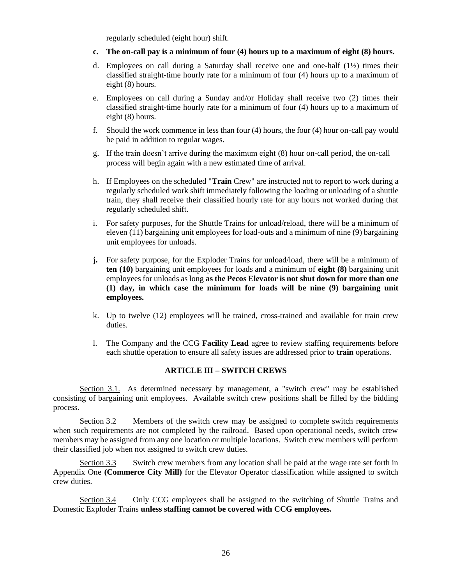regularly scheduled (eight hour) shift.

- **c. The on-call pay is a minimum of four (4) hours up to a maximum of eight (8) hours.**
- d. Employees on call during a Saturday shall receive one and one-half  $(1/2)$  times their classified straight-time hourly rate for a minimum of four (4) hours up to a maximum of eight (8) hours.
- e. Employees on call during a Sunday and/or Holiday shall receive two (2) times their classified straight-time hourly rate for a minimum of four (4) hours up to a maximum of eight (8) hours.
- f. Should the work commence in less than four (4) hours, the four (4) hour on-call pay would be paid in addition to regular wages.
- g. If the train doesn't arrive during the maximum eight (8) hour on-call period, the on-call process will begin again with a new estimated time of arrival.
- h. If Employees on the scheduled "**Train** Crew" are instructed not to report to work during a regularly scheduled work shift immediately following the loading or unloading of a shuttle train, they shall receive their classified hourly rate for any hours not worked during that regularly scheduled shift.
- i. For safety purposes, for the Shuttle Trains for unload/reload, there will be a minimum of eleven (11) bargaining unit employees for load-outs and a minimum of nine (9) bargaining unit employees for unloads.
- **j.** For safety purpose, for the Exploder Trains for unload/load, there will be a minimum of **ten (10)** bargaining unit employees for loads and a minimum of **eight (8)** bargaining unit employees for unloads as long **as the Pecos Elevator is not shut down for more than one (1) day, in which case the minimum for loads will be nine (9) bargaining unit employees.**
- k. Up to twelve (12) employees will be trained, cross-trained and available for train crew duties.
- l. The Company and the CCG **Facility Lead** agree to review staffing requirements before each shuttle operation to ensure all safety issues are addressed prior to **train** operations.

# **ARTICLE III – SWITCH CREWS**

Section 3.1. As determined necessary by management, a "switch crew" may be established consisting of bargaining unit employees. Available switch crew positions shall be filled by the bidding process.

Section 3.2 Members of the switch crew may be assigned to complete switch requirements when such requirements are not completed by the railroad. Based upon operational needs, switch crew members may be assigned from any one location or multiple locations. Switch crew members will perform their classified job when not assigned to switch crew duties.

Section 3.3 Switch crew members from any location shall be paid at the wage rate set forth in Appendix One **(Commerce City Mill)** for the Elevator Operator classification while assigned to switch crew duties.

Section 3.4 Only CCG employees shall be assigned to the switching of Shuttle Trains and Domestic Exploder Trains **unless staffing cannot be covered with CCG employees.**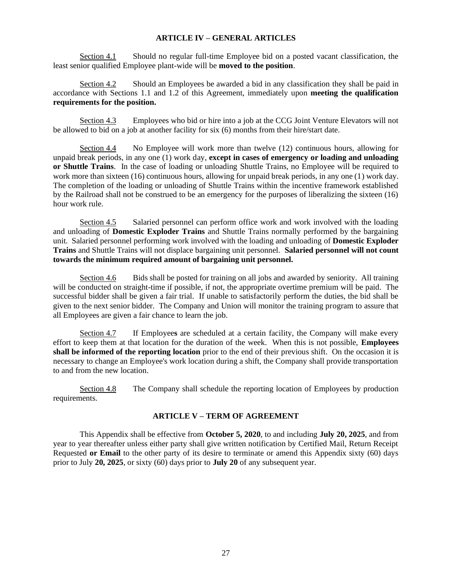### **ARTICLE IV – GENERAL ARTICLES**

Section 4.1 Should no regular full-time Employee bid on a posted vacant classification, the least senior qualified Employee plant-wide will be **moved to the position**.

Section 4.2 Should an Employees be awarded a bid in any classification they shall be paid in accordance with Sections 1.1 and 1.2 of this Agreement, immediately upon **meeting the qualification requirements for the position.**

Section 4.3 Employees who bid or hire into a job at the CCG Joint Venture Elevators will not be allowed to bid on a job at another facility for six (6) months from their hire/start date.

Section 4.4 No Employee will work more than twelve (12) continuous hours, allowing for unpaid break periods, in any one (1) work day, **except in cases of emergency or loading and unloading or Shuttle Trains**. In the case of loading or unloading Shuttle Trains, no Employee will be required to work more than sixteen (16) continuous hours, allowing for unpaid break periods, in any one (1) work day. The completion of the loading or unloading of Shuttle Trains within the incentive framework established by the Railroad shall not be construed to be an emergency for the purposes of liberalizing the sixteen (16) hour work rule.

Section 4.5 Salaried personnel can perform office work and work involved with the loading and unloading of **Domestic Exploder Trains** and Shuttle Trains normally performed by the bargaining unit. Salaried personnel performing work involved with the loading and unloading of **Domestic Exploder Trains** and Shuttle Trains will not displace bargaining unit personnel. **Salaried personnel will not count towards the minimum required amount of bargaining unit personnel.**

Section 4.6 Bids shall be posted for training on all jobs and awarded by seniority. All training will be conducted on straight-time if possible, if not, the appropriate overtime premium will be paid. The successful bidder shall be given a fair trial. If unable to satisfactorily perform the duties, the bid shall be given to the next senior bidder. The Company and Union will monitor the training program to assure that all Employees are given a fair chance to learn the job.

Section 4.7 If Employee**s** are scheduled at a certain facility, the Company will make every effort to keep them at that location for the duration of the week. When this is not possible, **Employees shall be informed of the reporting location** prior to the end of their previous shift. On the occasion it is necessary to change an Employee's work location during a shift, the Company shall provide transportation to and from the new location.

Section 4.8 The Company shall schedule the reporting location of Employees by production requirements.

# **ARTICLE V – TERM OF AGREEMENT**

This Appendix shall be effective from **October 5, 2020**, to and including **July 20, 2025**, and from year to year thereafter unless either party shall give written notification by Certified Mail, Return Receipt Requested **or Email** to the other party of its desire to terminate or amend this Appendix sixty (60) days prior to July **20, 2025**, or sixty (60) days prior to **July 20** of any subsequent year.